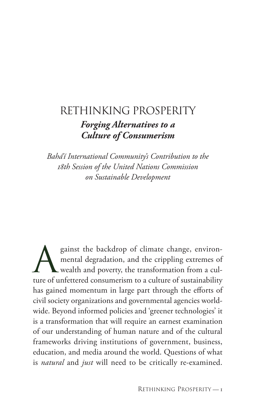# Rethinking Prosperity *Forging Alternatives to a Culture of Consumerism*

*Bahá'í International Community's Contribution to the 18th Session of the United Nations Commission on Sustainable Development*

Sainst the backdrop of climate change, environ-<br>mental degradation, and the crippling extremes of<br>wealth and poverty, the transformation from a culmental degradation, and the crippling extremes of wealth and poverty, the transformation from a culture of unfettered consumerism to a culture of sustainability has gained momentum in large part through the efforts of civil society organizations and governmental agencies worldwide. Beyond informed policies and 'greener technologies' it is a transformation that will require an earnest examination of our understanding of human nature and of the cultural frameworks driving institutions of government, business, education, and media around the world. Questions of what is *natural* and *just* will need to be critically re-examined.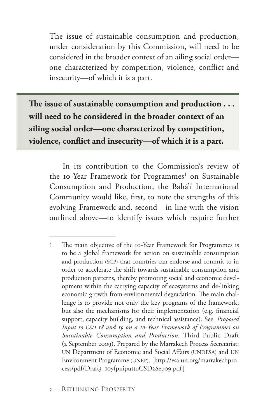The issue of sustainable consumption and production, under consideration by this Commission, will need to be considered in the broader context of an ailing social order one characterized by competition, violence, conflict and insecurity—of which it is a part.

**The issue of sustainable consumption and production . . . will need to be considered in the broader context of an ailing social order—one characterized by competition, violence, conflict and insecurity—of which it is a part.**

In its contribution to the Commission's review of the 10-Year Framework for Programmes<sup>1</sup> on Sustainable Consumption and Production, the Bahá'í International Community would like, first, to note the strengths of this evolving Framework and, second—in line with the vision outlined above—to identify issues which require further

<sup>1</sup> The main objective of the 10-Year Framework for Programmes is to be a global framework for action on sustainable consumption and production (SCP) that countries can endorse and commit to in order to accelerate the shift towards sustainable consumption and production patterns, thereby promoting social and economic development within the carrying capacity of ecosystems and de-linking economic growth from environmental degradation. The main challenge is to provide not only the key programs of the framework, but also the mechanisms for their implementation (e.g. financial support, capacity building, and technical assistance). See: *Proposed Input to CSD 18 and 19 on a 10-Year Framework of Programmes on Sustainable Consumption and Production.* Third Public Draft (2 September 2009). Prepared by the Marrakech Process Secretariat: UN Department of Economic and Social Affairs (UNDESA) and UN Environment Programme (UNEP). [http://esa.un.org/marrakechprocess/pdf/Draft3\_10yfpniputtoCSD2Sep09.pdf]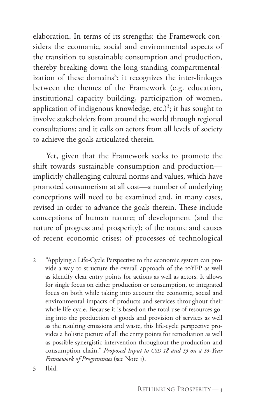elaboration. In terms of its strengths: the Framework considers the economic, social and environmental aspects of the transition to sustainable consumption and production, thereby breaking down the long-standing compartmentalization of these domains<sup>2</sup>; it recognizes the inter-linkages between the themes of the Framework (e.g. education, institutional capacity building, participation of women, application of indigenous knowledge, etc.)<sup>3</sup>; it has sought to involve stakeholders from around the world through regional consultations; and it calls on actors from all levels of society to achieve the goals articulated therein.

Yet, given that the Framework seeks to promote the shift towards sustainable consumption and production implicitly challenging cultural norms and values, which have promoted consumerism at all cost—a number of underlying conceptions will need to be examined and, in many cases, revised in order to advance the goals therein. These include conceptions of human nature; of development (and the nature of progress and prosperity); of the nature and causes of recent economic crises; of processes of technological

<sup>2</sup> "Applying a Life-Cycle Perspective to the economic system can provide a way to structure the overall approach of the 10YFP as well as identify clear entry points for actions as well as actors. It allows for single focus on either production or consumption, or integrated focus on both while taking into account the economic, social and environmental impacts of products and services throughout their whole life-cycle. Because it is based on the total use of resources going into the production of goods and provision of services as well as the resulting emissions and waste, this life-cycle perspective provides a holistic picture of all the entry points for remediation as well as possible synergistic intervention throughout the production and consumption chain." *Proposed Input to CSD 18 and 19 on a 10-Year Framework of Programmes* (see Note 1).

<sup>3</sup> Ibid.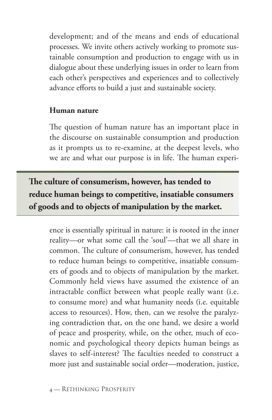development; and of the means and ends of educational processes. We invite others actively working to promote sustainable consumption and production to engage with us in dialogue about these underlying issues in order to learn from each other's perspectives and experiences and to collectively advance efforts to build a just and sustainable society.

### **Human nature**

The question of human nature has an important place in the discourse on sustainable consumption and production as it prompts us to re-examine, at the deepest levels, who we are and what our purpose is in life. The human experi-

**The culture of consumerism, however, has tended to reduce human beings to competitive, insatiable consumers of goods and to objects of manipulation by the market.** 

ence is essentially spiritual in nature: it is rooted in the inner reality—or what some call the 'soul'—that we all share in common. The culture of consumerism, however, has tended to reduce human beings to competitive, insatiable consumers of goods and to objects of manipulation by the market. Commonly held views have assumed the existence of an intractable conflict between what people really want (i.e. to consume more) and what humanity needs (i.e. equitable access to resources). How, then, can we resolve the paralyzing contradiction that, on the one hand, we desire a world of peace and prosperity, while, on the other, much of economic and psychological theory depicts human beings as slaves to self-interest? The faculties needed to construct a more just and sustainable social order—moderation, justice,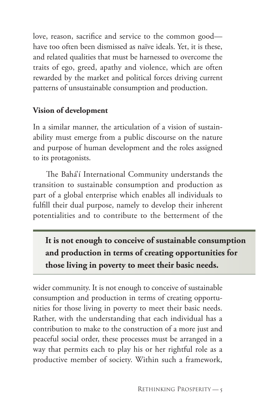love, reason, sacrifice and service to the common good have too often been dismissed as naïve ideals. Yet, it is these, and related qualities that must be harnessed to overcome the traits of ego, greed, apathy and violence, which are often rewarded by the market and political forces driving current patterns of unsustainable consumption and production.

## **Vision of development**

In a similar manner, the articulation of a vision of sustainability must emerge from a public discourse on the nature and purpose of human development and the roles assigned to its protagonists.

The Bahá'í International Community understands the transition to sustainable consumption and production as part of a global enterprise which enables all individuals to fulfill their dual purpose, namely to develop their inherent potentialities and to contribute to the betterment of the

**It is not enough to conceive of sustainable consumption and production in terms of creating opportunities for those living in poverty to meet their basic needs.** 

wider community. It is not enough to conceive of sustainable consumption and production in terms of creating opportunities for those living in poverty to meet their basic needs. Rather, with the understanding that each individual has a contribution to make to the construction of a more just and peaceful social order, these processes must be arranged in a way that permits each to play his or her rightful role as a productive member of society. Within such a framework,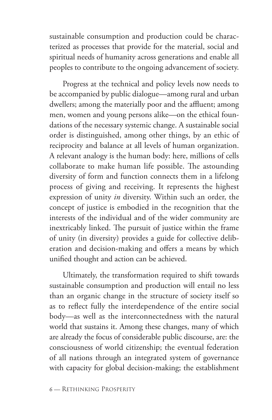sustainable consumption and production could be characterized as processes that provide for the material, social and spiritual needs of humanity across generations and enable all peoples to contribute to the ongoing advancement of society.

Progress at the technical and policy levels now needs to be accompanied by public dialogue—among rural and urban dwellers; among the materially poor and the affluent; among men, women and young persons alike—on the ethical foundations of the necessary systemic change. A sustainable social order is distinguished, among other things, by an ethic of reciprocity and balance at all levels of human organization. A relevant analogy is the human body: here, millions of cells collaborate to make human life possible. The astounding diversity of form and function connects them in a lifelong process of giving and receiving. It represents the highest expression of unity *in* diversity. Within such an order, the concept of justice is embodied in the recognition that the interests of the individual and of the wider community are inextricably linked. The pursuit of justice within the frame of unity (in diversity) provides a guide for collective deliberation and decision-making and offers a means by which unified thought and action can be achieved.

Ultimately, the transformation required to shift towards sustainable consumption and production will entail no less than an organic change in the structure of society itself so as to reflect fully the interdependence of the entire social body—as well as the interconnectedness with the natural world that sustains it. Among these changes, many of which are already the focus of considerable public discourse, are: the consciousness of world citizenship; the eventual federation of all nations through an integrated system of governance with capacity for global decision-making; the establishment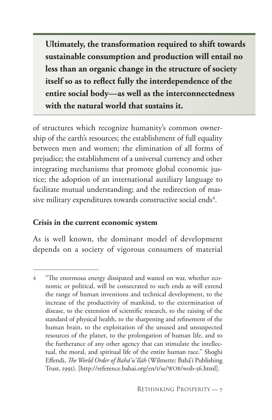**Ultimately, the transformation required to shift towards sustainable consumption and production will entail no less than an organic change in the structure of society itself so as to reflect fully the interdependence of the entire social body—as well as the interconnectedness with the natural world that sustains it.**

of structures which recognize humanity's common ownership of the earth's resources; the establishment of full equality between men and women; the elimination of all forms of prejudice; the establishment of a universal currency and other integrating mechanisms that promote global economic justice; the adoption of an international auxiliary language to facilitate mutual understanding; and the redirection of massive military expenditures towards constructive social ends<sup>4</sup>.

#### **Crisis in the current economic system**

As is well known, the dominant model of development depends on a society of vigorous consumers of material

<sup>4</sup> "The enormous energy dissipated and wasted on war, whether economic or political, will be consecrated to such ends as will extend the range of human inventions and technical development, to the increase of the productivity of mankind, to the extermination of disease, to the extension of scientific research, to the raising of the standard of physical health, to the sharpening and refinement of the human brain, to the exploitation of the unused and unsuspected resources of the planet, to the prolongation of human life, and to the furtherance of any other agency that can stimulate the intellectual, the moral, and spiritual life of the entire human race." Shoghi Effendi, *The World Order of Bahá'u'lláh* (Wilmette: Bahá'í Publishing Trust, 1991). [http://reference.bahai.org/en/t/se/WOB/wob-56.html].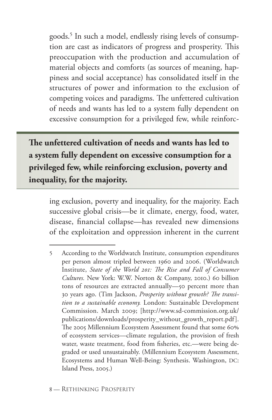goods.5 In such a model, endlessly rising levels of consumption are cast as indicators of progress and prosperity. This preoccupation with the production and accumulation of material objects and comforts (as sources of meaning, happiness and social acceptance) has consolidated itself in the structures of power and information to the exclusion of competing voices and paradigms. The unfettered cultivation of needs and wants has led to a system fully dependent on excessive consumption for a privileged few, while reinforc-

**The unfettered cultivation of needs and wants has led to a system fully dependent on excessive consumption for a privileged few, while reinforcing exclusion, poverty and inequality, for the majority.**

> ing exclusion, poverty and inequality, for the majority. Each successive global crisis—be it climate, energy, food, water, disease, financial collapse—has revealed new dimensions of the exploitation and oppression inherent in the current

<sup>5</sup> According to the Worldwatch Institute, consumption expenditures per person almost tripled between 1960 and 2006. (Worldwatch Institute, *State of the World 201: The Rise and Fall of Consumer Cultures.* New York: W.W. Norton & Company, 2010.) 60 billion tons of resources are extracted annually—50 percent more than 30 years ago. (Tim Jackson, *Prosperity without growth? The transition to a sustainable economy.* London: Sustainable Development Commission. March 2009; [http://www.sd-commission.org.uk/ publications/downloads/prosperity\_without\_growth\_report.pdf ]. The 2005 Millennium Ecosystem Assessment found that some 60% of ecosystem services—climate regulation, the provision of fresh water, waste treatment, food from fisheries, etc.—were being degraded or used unsustainably. (Millennium Ecosystem Assessment, Ecosystems and Human Well-Being: Synthesis. Washington, DC: Island Press, 2005.)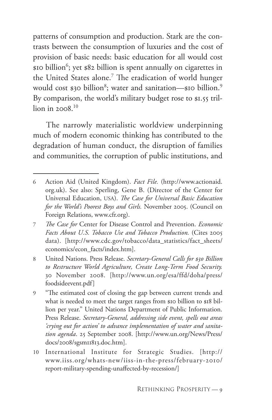patterns of consumption and production. Stark are the contrasts between the consumption of luxuries and the cost of provision of basic needs: basic education for all would cost \$10 billion<sup>6</sup>; yet \$82 billion is spent annually on cigarettes in the United States alone.<sup>7</sup> The eradication of world hunger would cost \$30 billion<sup>8</sup>; water and sanitation—\$10 billion.<sup>9</sup> By comparison, the world's military budget rose to \$1.55 trillion in  $2008$ <sup>10</sup>

The narrowly materialistic worldview underpinning much of modern economic thinking has contributed to the degradation of human conduct, the disruption of families and communities, the corruption of public institutions, and

<sup>6</sup> Action Aid (United Kingdom). *Fact File.* (http://www.actionaid. org.uk). See also: Sperling, Gene B. (Director of the Center for Universal Education, USA). *The Case for Universal Basic Education for the World's Poorest Boys and Girls.* November 2005. (Council on Foreign Relations, www.cfr.org).

<sup>7</sup> *The Case for* Center for Disease Control and Prevention. *Economic Facts About U.S. Tobacco Use and Tobacco Production.* (Cites 2005 data). [http://www.cdc.gov/tobacco/data\_statistics/fact\_sheets/ economics/econ\_facts/index.htm].

<sup>8</sup> United Nations. Press Release. *Secretary-General Calls for \$30 Billion to Restructure World Agriculture, Create Long-Term Food Security.*  30 November 2008. [http://www.un.org/esa/ffd/doha/press/ foodsideevent.pdf]

<sup>9</sup> "The estimated cost of closing the gap between current trends and what is needed to meet the target ranges from \$10 billion to \$18 billion per year." United Nations Department of Public Information. Press Release. *Secretary-General, addressing side event, spells out areas 'crying out for action' to advance implementation of water and sanitation agenda*. 25 September 2008. [http://www.un.org/News/Press/ docs/2008/sgsm11813.doc.htm].

<sup>10</sup> International Institute for Strategic Studies. [http:// www.iiss.org/whats-new/iiss-in-the-press/february-2010/ report-military-spending-unaffected-by-recession/]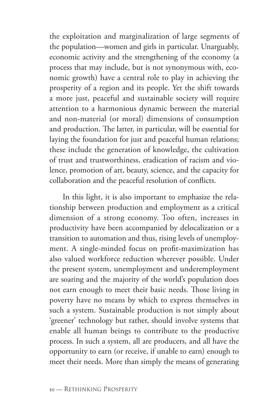the exploitation and marginalization of large segments of the population—women and girls in particular. Unarguably, economic activity and the strengthening of the economy (a process that may include, but is not synonymous with, economic growth) have a central role to play in achieving the prosperity of a region and its people. Yet the shift towards a more just, peaceful and sustainable society will require attention to a harmonious dynamic between the material and non-material (or moral) dimensions of consumption and production. The latter, in particular, will be essential for laying the foundation for just and peaceful human relations; these include the generation of knowledge, the cultivation of trust and trustworthiness, eradication of racism and violence, promotion of art, beauty, science, and the capacity for collaboration and the peaceful resolution of conflicts.

In this light, it is also important to emphasize the relationship between production and employment as a critical dimension of a strong economy. Too often, increases in productivity have been accompanied by delocalization or a transition to automation and thus, rising levels of unemployment. A single-minded focus on profit-maximization has also valued workforce reduction wherever possible. Under the present system, unemployment and underemployment are soaring and the majority of the world's population does not earn enough to meet their basic needs. Those living in poverty have no means by which to express themselves in such a system. Sustainable production is not simply about 'greener' technology but rather, should involve systems that enable all human beings to contribute to the productive process. In such a system, all are producers, and all have the opportunity to earn (or receive, if unable to earn) enough to meet their needs. More than simply the means of generating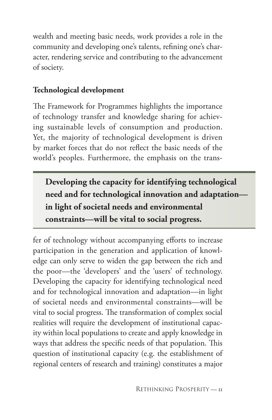wealth and meeting basic needs, work provides a role in the community and developing one's talents, refining one's character, rendering service and contributing to the advancement of society.

## **Technological development**

The Framework for Programmes highlights the importance of technology transfer and knowledge sharing for achieving sustainable levels of consumption and production. Yet, the majority of technological development is driven by market forces that do not reflect the basic needs of the world's peoples. Furthermore, the emphasis on the trans-

**Developing the capacity for identifying technological need and for technological innovation and adaptation in light of societal needs and environmental constraints—will be vital to social progress.** 

fer of technology without accompanying efforts to increase participation in the generation and application of knowledge can only serve to widen the gap between the rich and the poor—the 'developers' and the 'users' of technology. Developing the capacity for identifying technological need and for technological innovation and adaptation—in light of societal needs and environmental constraints—will be vital to social progress. The transformation of complex social realities will require the development of institutional capacity within local populations to create and apply knowledge in ways that address the specific needs of that population. This question of institutional capacity (e.g. the establishment of regional centers of research and training) constitutes a major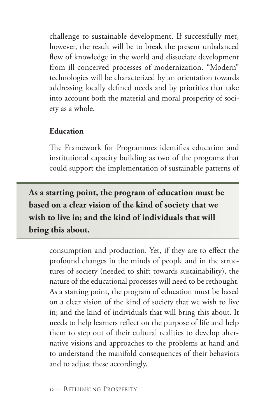challenge to sustainable development. If successfully met, however, the result will be to break the present unbalanced flow of knowledge in the world and dissociate development from ill-conceived processes of modernization. "Modern" technologies will be characterized by an orientation towards addressing locally defined needs and by priorities that take into account both the material and moral prosperity of society as a whole.

## **Education**

The Framework for Programmes identifies education and institutional capacity building as two of the programs that could support the implementation of sustainable patterns of

**As a starting point, the program of education must be based on a clear vision of the kind of society that we wish to live in; and the kind of individuals that will bring this about.**

> consumption and production. Yet, if they are to effect the profound changes in the minds of people and in the structures of society (needed to shift towards sustainability), the nature of the educational processes will need to be rethought. As a starting point, the program of education must be based on a clear vision of the kind of society that we wish to live in; and the kind of individuals that will bring this about. It needs to help learners reflect on the purpose of life and help them to step out of their cultural realities to develop alternative visions and approaches to the problems at hand and to understand the manifold consequences of their behaviors and to adjust these accordingly.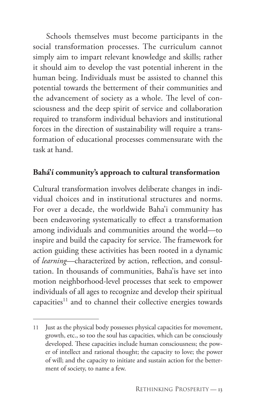Schools themselves must become participants in the social transformation processes. The curriculum cannot simply aim to impart relevant knowledge and skills; rather it should aim to develop the vast potential inherent in the human being. Individuals must be assisted to channel this potential towards the betterment of their communities and the advancement of society as a whole. The level of consciousness and the deep spirit of service and collaboration required to transform individual behaviors and institutional forces in the direction of sustainability will require a transformation of educational processes commensurate with the task at hand.

## **Bahá'í community's approach to cultural transformation**

Cultural transformation involves deliberate changes in individual choices and in institutional structures and norms. For over a decade, the worldwide Baha'i community has been endeavoring systematically to effect a transformation among individuals and communities around the world—to inspire and build the capacity for service. The framework for action guiding these activities has been rooted in a dynamic of *learning*—characterized by action, reflection, and consultation. In thousands of communities, Baha'is have set into motion neighborhood-level processes that seek to empower individuals of all ages to recognize and develop their spiritual capacities<sup>11</sup> and to channel their collective energies towards

<sup>11</sup> Just as the physical body possesses physical capacities for movement, growth, etc., so too the soul has capacities, which can be consciously developed. These capacities include human consciousness; the power of intellect and rational thought; the capacity to love; the power of will; and the capacity to initiate and sustain action for the betterment of society, to name a few.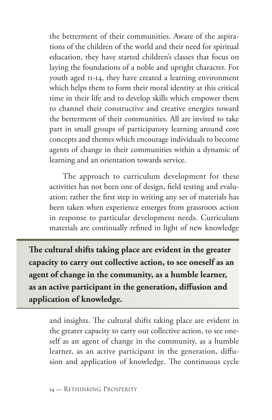the betterment of their communities. Aware of the aspirations of the children of the world and their need for spiritual education, they have started children's classes that focus on laying the foundations of a noble and upright character. For youth aged 11-14, they have created a learning environment which helps them to form their moral identity at this critical time in their life and to develop skills which empower them to channel their constructive and creative energies toward the betterment of their communities. All are invited to take part in small groups of participatory learning around core concepts and themes which encourage individuals to become agents of change in their communities within a dynamic of learning and an orientation towards service.

The approach to curriculum development for these activities has not been one of design, field testing and evaluation; rather the first step in writing any set of materials has been taken when experience emerges from grassroots action in response to particular development needs. Curriculum materials are continually refined in light of new knowledge

**The cultural shifts taking place are evident in the greater capacity to carry out collective action, to see oneself as an agent of change in the community, as a humble learner, as an active participant in the generation, diffusion and application of knowledge.**

and insights. The cultural shifts taking place are evident in the greater capacity to carry out collective action, to see oneself as an agent of change in the community, as a humble learner, as an active participant in the generation, diffusion and application of knowledge. The continuous cycle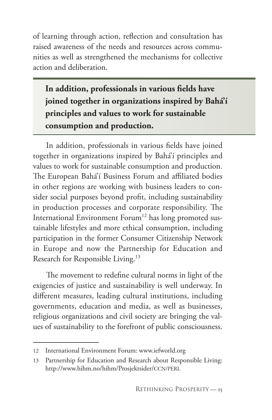of learning through action, reflection and consultation has raised awareness of the needs and resources across communities as well as strengthened the mechanisms for collective action and deliberation.

**In addition, professionals in various fields have joined together in organizations inspired by Bahá'í principles and values to work for sustainable consumption and production.** 

In addition, professionals in various fields have joined together in organizations inspired by Bahá'í principles and values to work for sustainable consumption and production. The European Bahá'í Business Forum and affiliated bodies in other regions are working with business leaders to consider social purposes beyond profit, including sustainability in production processes and corporate responsibility. The International Environment Forum<sup>12</sup> has long promoted sustainable lifestyles and more ethical consumption, including participation in the former Consumer Citizenship Network in Europe and now the Partnership for Education and Research for Responsible Living.<sup>13</sup>

The movement to redefine cultural norms in light of the exigencies of justice and sustainability is well underway. In different measures, leading cultural institutions, including governments, education and media, as well as businesses, religious organizations and civil society are bringing the values of sustainability to the forefront of public consciousness.

<sup>12</sup> International Environment Forum: www.iefworld.org

<sup>13</sup> Partnership for Education and Research about Responsible Living: http://www.hihm.no/hihm/Prosjektsider/CCN/PERL